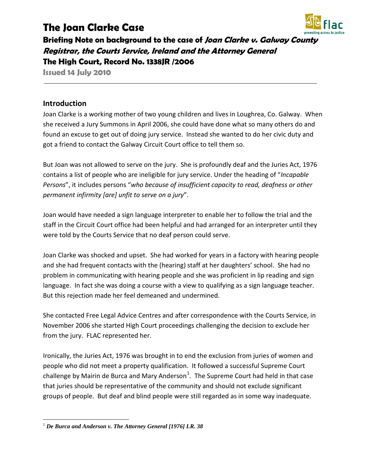# **The Joan Clarke Case**



**Briefing Note on background to the case of Joan Clarke v. Galway County Registrar, the Courts Service, Ireland and the Attorney General The High Court, Record No. 1338JR /2006**

**Issued 14 July 2010**

# **Introduction**

Joan Clarke is a working mother of two young children and lives in Loughrea, Co. Galway. When she received a Jury Summons in April 2006, she could have done what so many others do and found an excuse to get out of doing jury service. Instead she wanted to do her civic duty and got a friend to contact the Galway Circuit Court office to tell them so.

But Joan was not allowed to serve on the jury. She is profoundly deaf and the Juries Act, 1976 contains a list of people who are ineligible for jury service. Under the heading of "*Incapable Persons*", it includes persons "*who because of insufficient capacity to read, deafness or other permanent infirmity [are] unfit to serve on a jury*".

Joan would have needed a sign language interpreter to enable her to follow the trial and the staff in the Circuit Court office had been helpful and had arranged for an interpreter until they were told by the Courts Service that no deaf person could serve.

Joan Clarke was shocked and upset. She had worked for years in a factory with hearing people and she had frequent contacts with the (hearing) staff at her daughters' school. She had no problem in communicating with hearing people and she was proficient in lip reading and sign language. In fact she was doing a course with a view to qualifying as a sign language teacher. But this rejection made her feel demeaned and undermined.

She contacted Free Legal Advice Centres and after correspondence with the Courts Service, in November 2006 she started High Court proceedings challenging the decision to exclude her from the jury. FLAC represented her.

Ironically, the Juries Act, 1976 was brought in to end the exclusion from juries of women and people who did not meet a property qualification. It followed a successful Supreme Court challenge by Mairin de Burca and Mary Anderson<sup>[1](#page-0-0)</sup>. The Supreme Court had held in that case that juries should be representative of the community and should not exclude significant groups of people. But deaf and blind people were still regarded as in some way inadequate.

<span id="page-0-0"></span> <sup>1</sup> *De Burca and Anderson v. The Attorney General [1976] I.R. 38*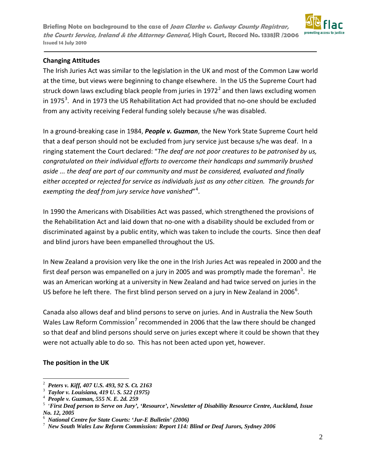**Briefing Note on background to the case of Joan Clarke v. Galway County Registrar, the Courts Service, Ireland & the Attorney General, High Court, Record No. 1338JR /2006 Issued 14 July 2010**



### **Changing Attitudes**

The Irish Juries Act was similar to the legislation in the UK and most of the Common Law world at the time, but views were beginning to change elsewhere. In the US the Supreme Court had struck down laws excluding black people from juries in 197[2](#page-1-0) $2$  and then laws excluding women in 1975<sup>[3](#page-1-1)</sup>. And in 1973 the US Rehabilitation Act had provided that no-one should be excluded from any activity receiving Federal funding solely because s/he was disabled.

In a ground-breaking case in 1984, *People v. Guzman*, the New York State Supreme Court held that a deaf person should not be excluded from jury service just because s/he was deaf. In a ringing statement the Court declared: "*The deaf are not poor creatures to be patronised by us, congratulated on their individual efforts to overcome their handicaps and summarily brushed aside ... the deaf are part of our community and must be considered, evaluated and finally either accepted or rejected for service as individuals just as any other citizen. The grounds for exempting the deaf from jury service have vanished*"[4](#page-1-2) .

In 1990 the Americans with Disabilities Act was passed, which strengthened the provisions of the Rehabilitation Act and laid down that no-one with a disability should be excluded from or discriminated against by a public entity, which was taken to include the courts. Since then deaf and blind jurors have been empanelled throughout the US.

In New Zealand a provision very like the one in the Irish Juries Act was repealed in 2000 and the first deaf person was empanelled on a jury in 200[5](#page-1-3) and was promptly made the foreman<sup>5</sup>. He was an American working at a university in New Zealand and had twice served on juries in the US before he left there. The first blind person served on a jury in New Zealand in 200[6](#page-1-4)<sup>6</sup>.

Canada also allows deaf and blind persons to serve on juries. And in Australia the New South Wales Law Reform Commission<sup>[7](#page-1-5)</sup> recommended in 2006 that the law there should be changed so that deaf and blind persons should serve on juries except where it could be shown that they were not actually able to do so. This has not been acted upon yet, however.

#### **The position in the UK**

<span id="page-1-0"></span> $\frac{1}{2}$ *Peters v. Kiff, 407 U.S. 493, 92 S. Ct. 2163* 

<span id="page-1-1"></span>*Taylor v. Louisiana, 419 U. S. 522 (1975)* <sup>4</sup>

<span id="page-1-2"></span>*People v. Guzman, 555 N. E. 2d. 259* 

<span id="page-1-3"></span> <sup>&#</sup>x27;*First Deaf person to Serve on Jury', 'Resource', Newsletter of Disability Resource Centre, Auckland, Issue No. 12, 2005*

<span id="page-1-4"></span><sup>&</sup>lt;sup>6</sup> National Centre for State Courts: 'Jur-E Bulletin' (2006)<sup>7</sup> New South Wales Law Petern Commission: Penort 114:

<span id="page-1-5"></span>*New South Wales Law Reform Commission: Report 114: Blind or Deaf Jurors, Sydney 2006*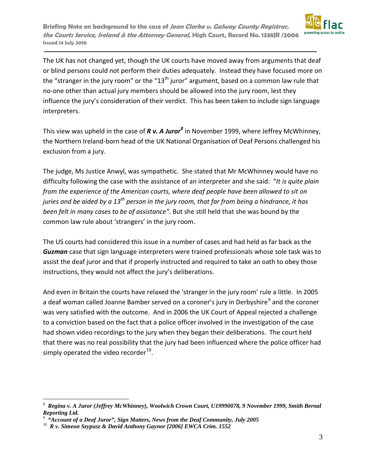**Briefing Note on background to the case of Joan Clarke v. Galway County Registrar, the Courts Service, Ireland & the Attorney General, High Court, Record No. 1338JR /2006 Issued 14 July 2010**



The UK has not changed yet, though the UK courts have moved away from arguments that deaf or blind persons could not perform their duties adequately. Instead they have focused more on the "stranger in the jury room" or the " $13<sup>th</sup>$  juror" argument, based on a common law rule that no-one other than actual jury members should be allowed into the jury room, lest they influence the jury's consideration of their verdict. This has been taken to include sign language interpreters.

This view was upheld in the case of *R v. A Juror[8](#page-2-0)* in November 1999, where Jeffrey McWhinney, the Northern Ireland-born head of the UK National Organisation of Deaf Persons challenged his exclusion from a jury.

The judge, Ms Justice Anwyl, was sympathetic. She stated that Mr McWhinney would have no difficulty following the case with the assistance of an interpreter and she said: "*It is quite plain from the experience of the American courts, where deaf people have been allowed to sit on juries and be aided by a 13th person in the jury room, that far from being a hindrance, it has been felt in many cases to be of assistance".* But she still held that she was bound by the common law rule about 'strangers' in the jury room.

The US courts had considered this issue in a number of cases and had held as far back as the *Guzman* case that sign language interpreters were trained professionals whose sole task was to assist the deaf juror and that if properly instructed and required to take an oath to obey those instructions, they would not affect the jury's deliberations.

And even in Britain the courts have relaxed the 'stranger in the jury room' rule a little. In 2005 a deaf woman called Joanne Bamber served on a coroner's jury in Derbyshire<sup>[9](#page-2-1)</sup> and the coroner was very satisfied with the outcome. And in 2006 the UK Court of Appeal rejected a challenge to a conviction based on the fact that a police officer involved in the investigation of the case had shown video recordings to the jury when they began their deliberations. The court held that there was no real possibility that the jury had been influenced where the police officer had simply operated the video recorder $^{10}$  $^{10}$  $^{10}$ .

<span id="page-2-0"></span> <sup>8</sup> *Regina v. A Juror (Jeffrey McWhinney), Woolwich Crown Court, U19990078, 9 November 1999, Smith Bernal Reporting Ltd.*

<span id="page-2-1"></span> $9\frac{1}{10}$  "Account of a Deaf Juror", Sign Matters, News from the Deaf Community, July 2005

<span id="page-2-2"></span><sup>&</sup>lt;sup>10</sup> R v. Simeon Szypusz & David Anthony Gaynor [2006] EWCA Crim. 1552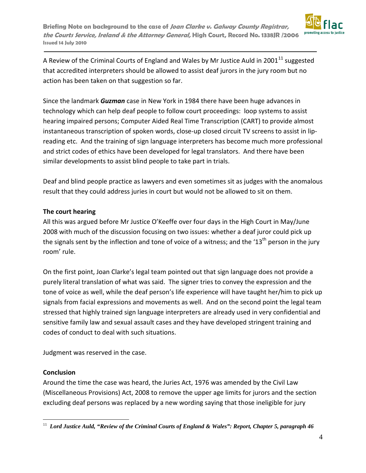

A Review of the Criminal Courts of England and Wales by Mr Justice Auld in 2001 $^{11}$  $^{11}$  $^{11}$  suggested that accredited interpreters should be allowed to assist deaf jurors in the jury room but no action has been taken on that suggestion so far.

Since the landmark *Guzman* case in New York in 1984 there have been huge advances in technology which can help deaf people to follow court proceedings: loop systems to assist hearing impaired persons; Computer Aided Real Time Transcription (CART) to provide almost instantaneous transcription of spoken words, close-up closed circuit TV screens to assist in lipreading etc. And the training of sign language interpreters has become much more professional and strict codes of ethics have been developed for legal translators. And there have been similar developments to assist blind people to take part in trials.

Deaf and blind people practice as lawyers and even sometimes sit as judges with the anomalous result that they could address juries in court but would not be allowed to sit on them.

# **The court hearing**

All this was argued before Mr Justice O'Keeffe over four days in the High Court in May/June 2008 with much of the discussion focusing on two issues: whether a deaf juror could pick up the signals sent by the inflection and tone of voice of a witness; and the '13<sup>th</sup> person in the jury room' rule.

On the first point, Joan Clarke's legal team pointed out that sign language does not provide a purely literal translation of what was said. The signer tries to convey the expression and the tone of voice as well, while the deaf person's life experience will have taught her/him to pick up signals from facial expressions and movements as well. And on the second point the legal team stressed that highly trained sign language interpreters are already used in very confidential and sensitive family law and sexual assault cases and they have developed stringent training and codes of conduct to deal with such situations.

Judgment was reserved in the case.

# **Conclusion**

Around the time the case was heard, the Juries Act, 1976 was amended by the Civil Law (Miscellaneous Provisions) Act, 2008 to remove the upper age limits for jurors and the section excluding deaf persons was replaced by a new wording saying that those ineligible for jury

<span id="page-3-0"></span> <sup>11</sup> *Lord Justice Auld, "Review of the Criminal Courts of England & Wales": Report, Chapter 5, paragraph 46*